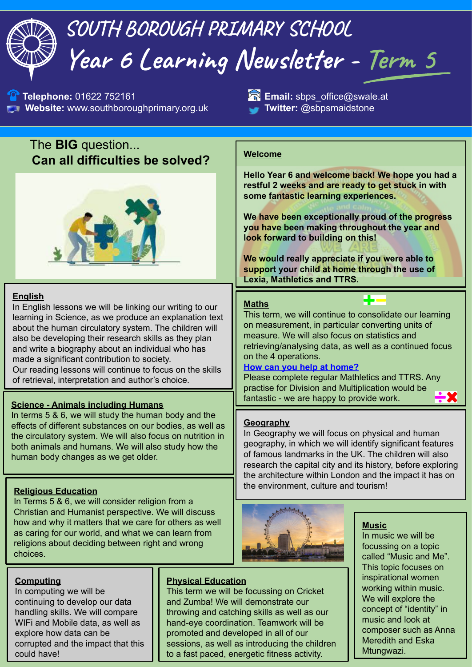# **SOUTH BOROUGH PRIMARY SCHOOL Year 6 Learning Newsletter - Term 5**

**1** Telephone: 01622 752161 **Email:** sbps\_office@swale.at **Website:** www.southboroughprimary.org.uk **Twitter:** @sbpsmaidstone

## The **BIG** question... **Can all difficulties be solved?**



#### **English**

In English lessons we will be linking our writing to our learning in Science, as we produce an explanation text about the human circulatory system. The children will also be developing their research skills as they plan and write a biography about an individual who has made a significant contribution to society. Our reading lessons will continue to focus on the skills of retrieval, interpretation and author's choice.

## **<u>Science - Animals including Humans</u> Example 20 and Science - Animals including Humans**

In terms 5 & 6, we will study the human body and the effects of different substances on our bodies, as well as the circulatory system. We will also focus on nutrition in both animals and humans. We will also study how the human body changes as we get older.

#### **Religious Education**

In Terms 5 & 6, we will consider religion from a Christian and Humanist perspective. We will discuss how and why it matters that we care for others as well as caring for our world, and what we can learn from religions about deciding between right and wrong choices.

#### **Computing**

In computing we will be continuing to develop our data handling skills. We will compare WIFi and Mobile data, as well as explore how data can be corrupted and the impact that this could have!

#### **Physical Education**

This term we will be focussing on Cricket and Zumba! We will demonstrate our throwing and catching skills as well as our hand-eye coordination. Teamwork will be promoted and developed in all of our sessions, as well as introducing the children to a fast paced, energetic fitness activity.

#### **Welcome**

**Hello Year 6 and welcome back! We hope you had a restful 2 weeks and are ready to get stuck in with some fantastic learning experiences.**

**We have been exceptionally proud of the progress you have been making throughout the year and look forward to building on this!** 

**We would really appreciate if you were able to support your child at home through the use of Lexia, Mathletics and TTRS.**

#### **Maths**

This term, we will continue to consolidate our learning on measurement, in particular converting units of measure. We will also focus on statistics and retrieving/analysing data, as well as a continued focus on the 4 operations.

#### **How can you help at home?**

Please complete regular Mathletics and TTRS. Any practise for Division and Multiplication would be

#### **Geography**

In Geography we will focus on physical and human geography, in which we will identify significant features of famous landmarks in the UK. The children will also research the capital city and its history, before exploring the architecture within London and the impact it has on the environment, culture and tourism!



#### **Music**

In music we will be focussing on a topic called "Music and Me". This topic focuses on inspirational women working within music. We will explore the concept of "identity" in music and look at composer such as Anna Meredith and Eska Mtungwazi.